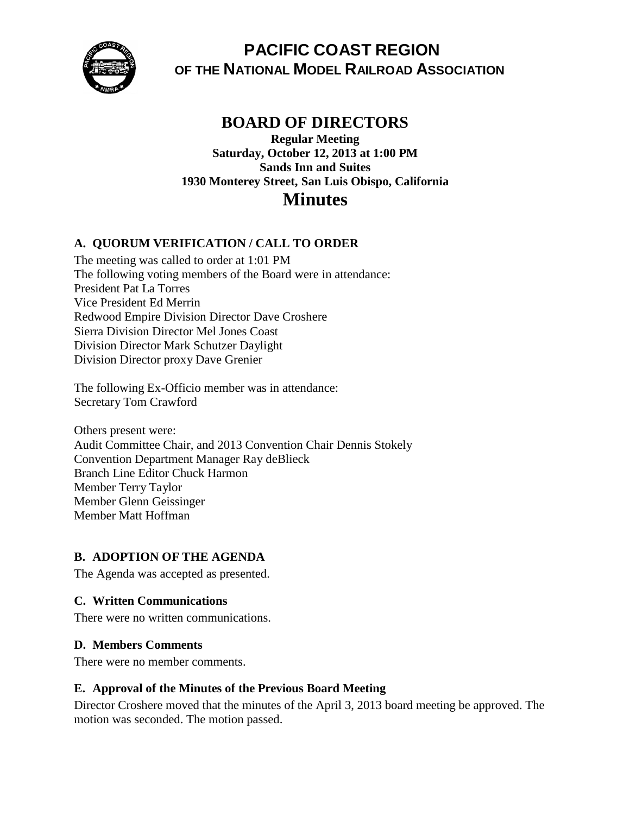

**PACIFIC COAST REGION OF THE NATIONAL MODEL RAILROAD ASSOCIATION**

## **BOARD OF DIRECTORS**

**Regular Meeting Saturday, October 12, 2013 at 1:00 PM Sands Inn and Suites 1930 Monterey Street, San Luis Obispo, California Minutes**

### **A. QUORUM VERIFICATION / CALL TO ORDER**

The meeting was called to order at 1:01 PM The following voting members of the Board were in attendance: President Pat La Torres Vice President Ed Merrin Redwood Empire Division Director Dave Croshere Sierra Division Director Mel Jones Coast Division Director Mark Schutzer Daylight Division Director proxy Dave Grenier

The following Ex-Officio member was in attendance: Secretary Tom Crawford

Others present were: Audit Committee Chair, and 2013 Convention Chair Dennis Stokely Convention Department Manager Ray deBlieck Branch Line Editor Chuck Harmon Member Terry Taylor Member Glenn Geissinger Member Matt Hoffman

### **B. ADOPTION OF THE AGENDA**

The Agenda was accepted as presented.

#### **C. Written Communications**

There were no written communications.

#### **D. Members Comments**

There were no member comments.

#### **E. Approval of the Minutes of the Previous Board Meeting**

Director Croshere moved that the minutes of the April 3, 2013 board meeting be approved. The motion was seconded. The motion passed.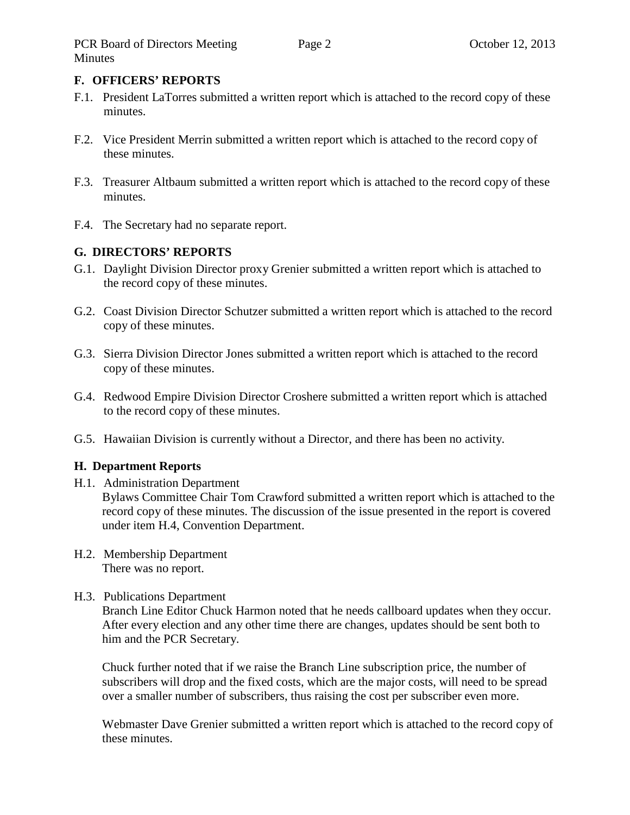### **F. OFFICERS' REPORTS**

- F.1. President LaTorres submitted a written report which is attached to the record copy of these minutes.
- F.2. Vice President Merrin submitted a written report which is attached to the record copy of these minutes.
- F.3. Treasurer Altbaum submitted a written report which is attached to the record copy of these minutes.
- F.4. The Secretary had no separate report.

## **G. DIRECTORS' REPORTS**

- G.1. Daylight Division Director proxy Grenier submitted a written report which is attached to the record copy of these minutes.
- G.2. Coast Division Director Schutzer submitted a written report which is attached to the record copy of these minutes.
- G.3. Sierra Division Director Jones submitted a written report which is attached to the record copy of these minutes.
- G.4. Redwood Empire Division Director Croshere submitted a written report which is attached to the record copy of these minutes.
- G.5. Hawaiian Division is currently without a Director, and there has been no activity.

### **H. Department Reports**

H.1. Administration Department

Bylaws Committee Chair Tom Crawford submitted a written report which is attached to the record copy of these minutes. The discussion of the issue presented in the report is covered under item H.4, Convention Department.

H.2. Membership Department There was no report.

### H.3. Publications Department

Branch Line Editor Chuck Harmon noted that he needs callboard updates when they occur. After every election and any other time there are changes, updates should be sent both to him and the PCR Secretary.

Chuck further noted that if we raise the Branch Line subscription price, the number of subscribers will drop and the fixed costs, which are the major costs, will need to be spread over a smaller number of subscribers, thus raising the cost per subscriber even more.

Webmaster Dave Grenier submitted a written report which is attached to the record copy of these minutes.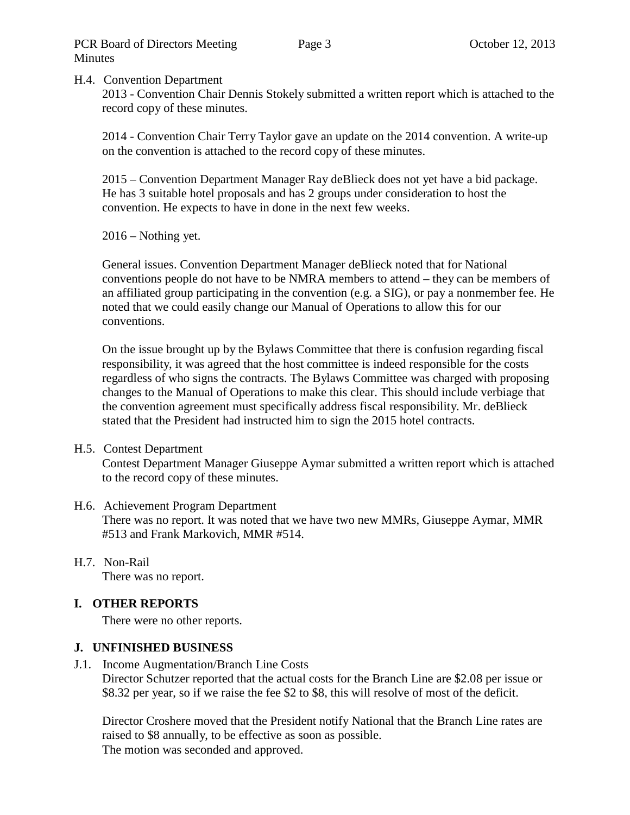#### H.4. Convention Department

2013 - Convention Chair Dennis Stokely submitted a written report which is attached to the record copy of these minutes.

2014 - Convention Chair Terry Taylor gave an update on the 2014 convention. A write-up on the convention is attached to the record copy of these minutes.

2015 – Convention Department Manager Ray deBlieck does not yet have a bid package. He has 3 suitable hotel proposals and has 2 groups under consideration to host the convention. He expects to have in done in the next few weeks.

2016 – Nothing yet.

General issues. Convention Department Manager deBlieck noted that for National conventions people do not have to be NMRA members to attend – they can be members of an affiliated group participating in the convention (e.g. a SIG), or pay a nonmember fee. He noted that we could easily change our Manual of Operations to allow this for our conventions.

On the issue brought up by the Bylaws Committee that there is confusion regarding fiscal responsibility, it was agreed that the host committee is indeed responsible for the costs regardless of who signs the contracts. The Bylaws Committee was charged with proposing changes to the Manual of Operations to make this clear. This should include verbiage that the convention agreement must specifically address fiscal responsibility. Mr. deBlieck stated that the President had instructed him to sign the 2015 hotel contracts.

#### H.5. Contest Department

Contest Department Manager Giuseppe Aymar submitted a written report which is attached to the record copy of these minutes.

#### H.6. Achievement Program Department There was no report. It was noted that we have two new MMRs, Giuseppe Aymar, MMR #513 and Frank Markovich, MMR #514.

## H.7. Non-Rail

There was no report.

#### **I. OTHER REPORTS**

There were no other reports.

#### **J. UNFINISHED BUSINESS**

J.1. Income Augmentation/Branch Line Costs

Director Schutzer reported that the actual costs for the Branch Line are \$2.08 per issue or \$8.32 per year, so if we raise the fee \$2 to \$8, this will resolve of most of the deficit.

Director Croshere moved that the President notify National that the Branch Line rates are raised to \$8 annually, to be effective as soon as possible. The motion was seconded and approved.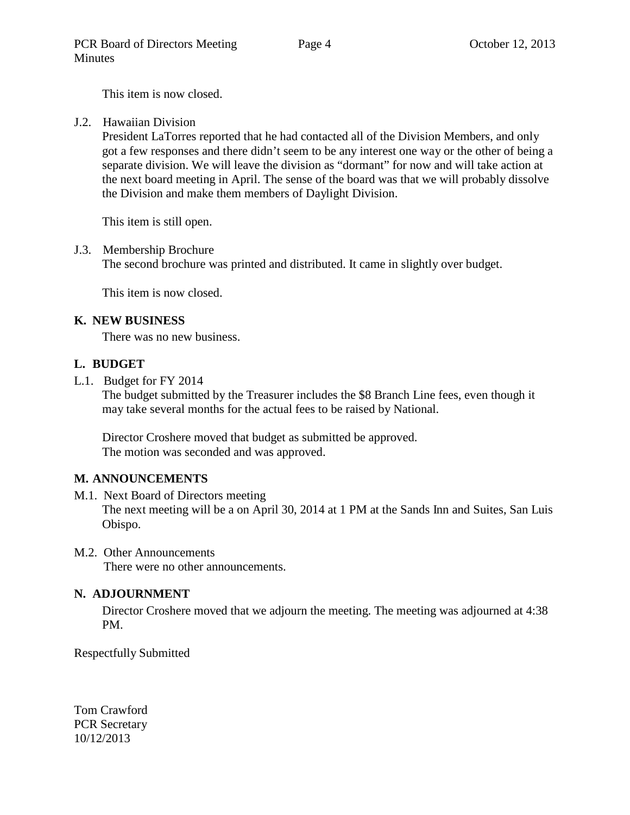This item is now closed.

J.2. Hawaiian Division

President LaTorres reported that he had contacted all of the Division Members, and only got a few responses and there didn't seem to be any interest one way or the other of being a separate division. We will leave the division as "dormant" for now and will take action at the next board meeting in April. The sense of the board was that we will probably dissolve the Division and make them members of Daylight Division.

This item is still open.

J.3. Membership Brochure

The second brochure was printed and distributed. It came in slightly over budget.

This item is now closed.

### **K. NEW BUSINESS**

There was no new business.

### **L. BUDGET**

L.1. Budget for FY 2014

The budget submitted by the Treasurer includes the \$8 Branch Line fees, even though it may take several months for the actual fees to be raised by National.

Director Croshere moved that budget as submitted be approved. The motion was seconded and was approved.

### **M. ANNOUNCEMENTS**

- M.1. Next Board of Directors meeting The next meeting will be a on April 30, 2014 at 1 PM at the Sands Inn and Suites, San Luis Obispo.
- M.2. Other Announcements

There were no other announcements.

### **N. ADJOURNMENT**

Director Croshere moved that we adjourn the meeting. The meeting was adjourned at 4:38 PM.

Respectfully Submitted

Tom Crawford PCR Secretary 10/12/2013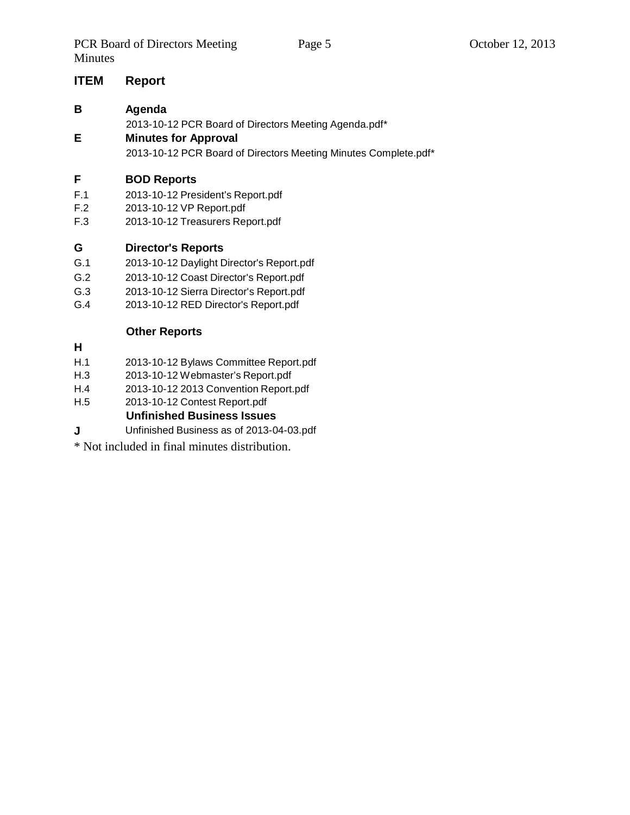### **ITEM Report**

#### **B Agenda**

2013-10-12 PCR Board of Directors Meeting Agenda.pdf\*

### **E Minutes for Approval**

2013-10-12 PCR Board of Directors Meeting Minutes Complete.pdf\*

### **F BOD Reports**

- F.1 2013-10-12 President's Report.pdf
- F.2 2013-10-12 VP Report.pdf
- F.3 2013-10-12 Treasurers Report.pdf

### **G Director's Reports**

- G.1 2013-10-12 Daylight Director's Report.pdf
- G.2 2013-10-12 Coast Director's Report.pdf
- G.3 2013-10-12 Sierra Director's Report.pdf
- G.4 2013-10-12 RED Director's Report.pdf

## **Other Reports**

- **H**
- H.1 2013-10-12 Bylaws Committee Report.pdf
- H.3 2013-10-12 Webmaster's Report.pdf
- H.4 2013-10-12 2013 Convention Report.pdf
- H.5 2013-10-12 Contest Report.pdf

**Unfinished Business Issues**

- **J** Unfinished Business as of 2013-04-03.pdf
- \* Not included in final minutes distribution.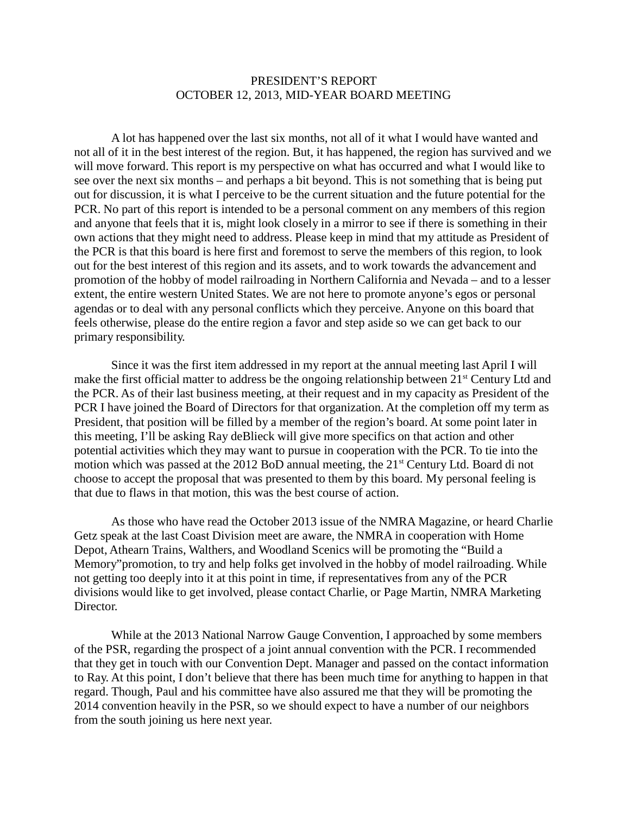#### PRESIDENT'S REPORT OCTOBER 12, 2013, MID-YEAR BOARD MEETING

A lot has happened over the last six months, not all of it what I would have wanted and not all of it in the best interest of the region. But, it has happened, the region has survived and we will move forward. This report is my perspective on what has occurred and what I would like to see over the next six months – and perhaps a bit beyond. This is not something that is being put out for discussion, it is what I perceive to be the current situation and the future potential for the PCR. No part of this report is intended to be a personal comment on any members of this region and anyone that feels that it is, might look closely in a mirror to see if there is something in their own actions that they might need to address. Please keep in mind that my attitude as President of the PCR is that this board is here first and foremost to serve the members of this region, to look out for the best interest of this region and its assets, and to work towards the advancement and promotion of the hobby of model railroading in Northern California and Nevada – and to a lesser extent, the entire western United States. We are not here to promote anyone's egos or personal agendas or to deal with any personal conflicts which they perceive. Anyone on this board that feels otherwise, please do the entire region a favor and step aside so we can get back to our primary responsibility.

Since it was the first item addressed in my report at the annual meeting last April I will make the first official matter to address be the ongoing relationship between 21<sup>st</sup> Century Ltd and the PCR. As of their last business meeting, at their request and in my capacity as President of the PCR I have joined the Board of Directors for that organization. At the completion off my term as President, that position will be filled by a member of the region's board. At some point later in this meeting, I'll be asking Ray deBlieck will give more specifics on that action and other potential activities which they may want to pursue in cooperation with the PCR. To tie into the motion which was passed at the 2012 BoD annual meeting, the 21<sup>st</sup> Century Ltd. Board di not choose to accept the proposal that was presented to them by this board. My personal feeling is that due to flaws in that motion, this was the best course of action.

As those who have read the October 2013 issue of the NMRA Magazine, or heard Charlie Getz speak at the last Coast Division meet are aware, the NMRA in cooperation with Home Depot, Athearn Trains, Walthers, and Woodland Scenics will be promoting the "Build a Memory"promotion, to try and help folks get involved in the hobby of model railroading. While not getting too deeply into it at this point in time, if representatives from any of the PCR divisions would like to get involved, please contact Charlie, or Page Martin, NMRA Marketing Director.

While at the 2013 National Narrow Gauge Convention, I approached by some members of the PSR, regarding the prospect of a joint annual convention with the PCR. I recommended that they get in touch with our Convention Dept. Manager and passed on the contact information to Ray. At this point, I don't believe that there has been much time for anything to happen in that regard. Though, Paul and his committee have also assured me that they will be promoting the 2014 convention heavily in the PSR, so we should expect to have a number of our neighbors from the south joining us here next year.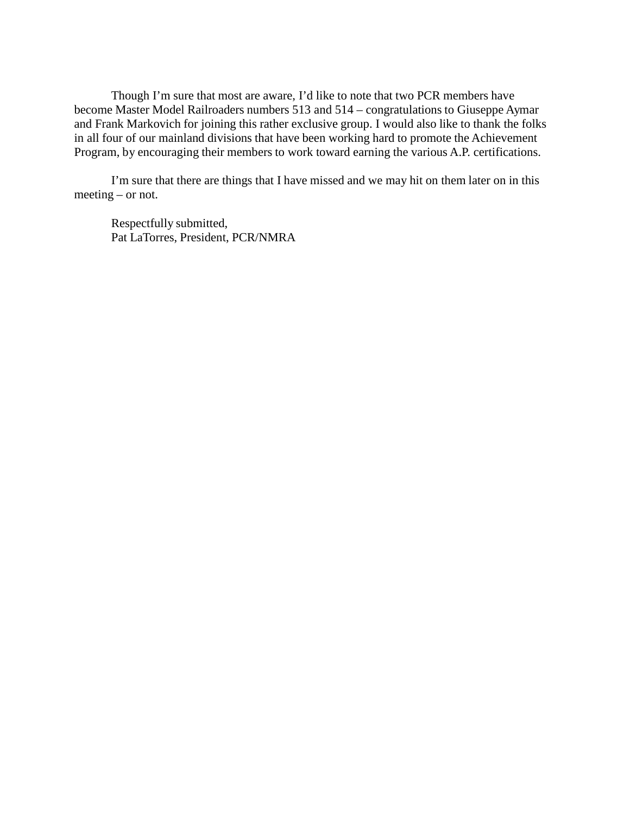Though I'm sure that most are aware, I'd like to note that two PCR members have become Master Model Railroaders numbers 513 and 514 – congratulations to Giuseppe Aymar and Frank Markovich for joining this rather exclusive group. I would also like to thank the folks in all four of our mainland divisions that have been working hard to promote the Achievement Program, by encouraging their members to work toward earning the various A.P. certifications.

I'm sure that there are things that I have missed and we may hit on them later on in this meeting – or not.

Respectfully submitted, Pat LaTorres, President, PCR/NMRA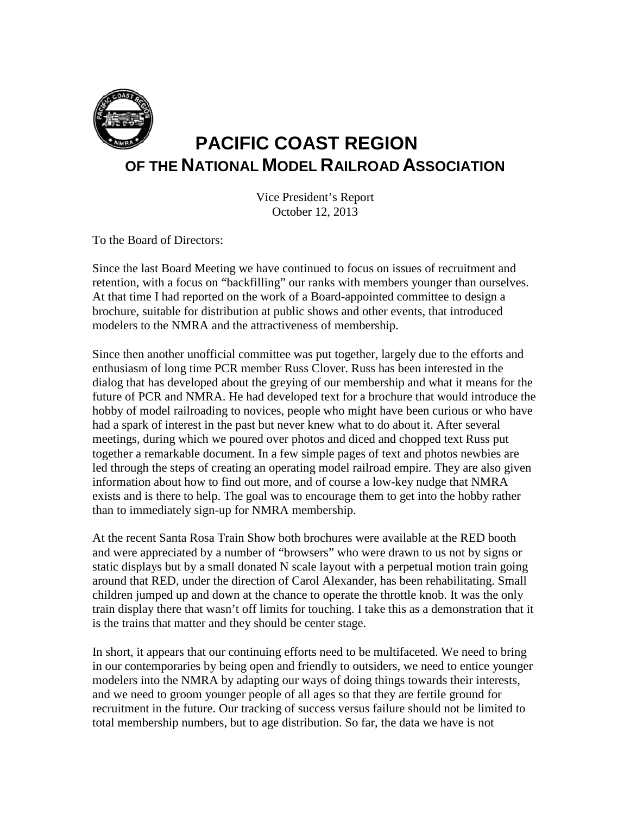

## **PACIFIC COAST REGION OF THE NATIONAL MODEL RAILROAD ASSOCIATION**

Vice President's Report October 12, 2013

To the Board of Directors:

Since the last Board Meeting we have continued to focus on issues of recruitment and retention, with a focus on "backfilling" our ranks with members younger than ourselves. At that time I had reported on the work of a Board-appointed committee to design a brochure, suitable for distribution at public shows and other events, that introduced modelers to the NMRA and the attractiveness of membership.

Since then another unofficial committee was put together, largely due to the efforts and enthusiasm of long time PCR member Russ Clover. Russ has been interested in the dialog that has developed about the greying of our membership and what it means for the future of PCR and NMRA. He had developed text for a brochure that would introduce the hobby of model railroading to novices, people who might have been curious or who have had a spark of interest in the past but never knew what to do about it. After several meetings, during which we poured over photos and diced and chopped text Russ put together a remarkable document. In a few simple pages of text and photos newbies are led through the steps of creating an operating model railroad empire. They are also given information about how to find out more, and of course a low-key nudge that NMRA exists and is there to help. The goal was to encourage them to get into the hobby rather than to immediately sign-up for NMRA membership.

At the recent Santa Rosa Train Show both brochures were available at the RED booth and were appreciated by a number of "browsers" who were drawn to us not by signs or static displays but by a small donated N scale layout with a perpetual motion train going around that RED, under the direction of Carol Alexander, has been rehabilitating. Small children jumped up and down at the chance to operate the throttle knob. It was the only train display there that wasn't off limits for touching. I take this as a demonstration that it is the trains that matter and they should be center stage.

In short, it appears that our continuing efforts need to be multifaceted. We need to bring in our contemporaries by being open and friendly to outsiders, we need to entice younger modelers into the NMRA by adapting our ways of doing things towards their interests, and we need to groom younger people of all ages so that they are fertile ground for recruitment in the future. Our tracking of success versus failure should not be limited to total membership numbers, but to age distribution. So far, the data we have is not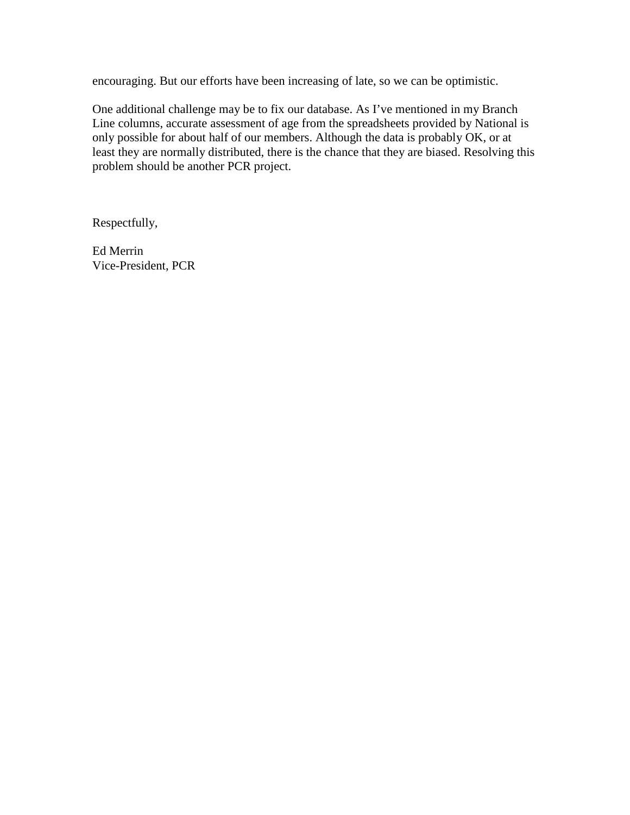encouraging. But our efforts have been increasing of late, so we can be optimistic.

One additional challenge may be to fix our database. As I've mentioned in my Branch Line columns, accurate assessment of age from the spreadsheets provided by National is only possible for about half of our members. Although the data is probably OK, or at least they are normally distributed, there is the chance that they are biased. Resolving this problem should be another PCR project.

Respectfully,

Ed Merrin Vice-President, PCR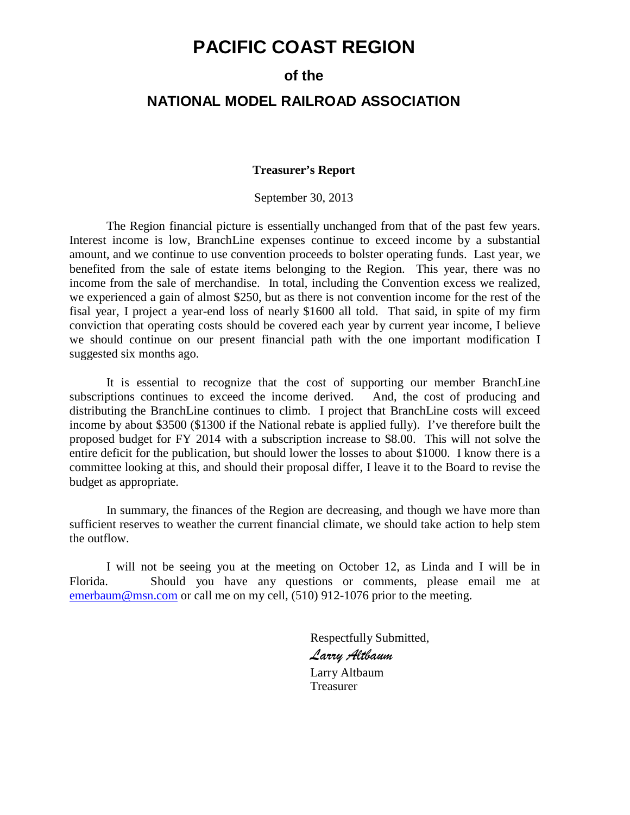## **PACIFIC COAST REGION**

## **of the**

#### **NATIONAL MODEL RAILROAD ASSOCIATION**

#### **Treasurer's Report**

September 30, 2013

The Region financial picture is essentially unchanged from that of the past few years. Interest income is low, BranchLine expenses continue to exceed income by a substantial amount, and we continue to use convention proceeds to bolster operating funds. Last year, we benefited from the sale of estate items belonging to the Region. This year, there was no income from the sale of merchandise. In total, including the Convention excess we realized, we experienced a gain of almost \$250, but as there is not convention income for the rest of the fisal year, I project a year-end loss of nearly \$1600 all told. That said, in spite of my firm conviction that operating costs should be covered each year by current year income, I believe we should continue on our present financial path with the one important modification I suggested six months ago.

It is essential to recognize that the cost of supporting our member BranchLine subscriptions continues to exceed the income derived. And, the cost of producing and distributing the BranchLine continues to climb. I project that BranchLine costs will exceed income by about \$3500 (\$1300 if the National rebate is applied fully). I've therefore built the proposed budget for FY 2014 with a subscription increase to \$8.00. This will not solve the entire deficit for the publication, but should lower the losses to about \$1000. I know there is a committee looking at this, and should their proposal differ, I leave it to the Board to revise the budget as appropriate.

In summary, the finances of the Region are decreasing, and though we have more than sufficient reserves to weather the current financial climate, we should take action to help stem the outflow.

I will not be seeing you at the meeting on October 12, as Linda and I will be in Florida. Should you have any questions or comments, please email me at [emerbaum@msn.com](mailto:emerbaum@msn.com) or call me on my cell, (510) 912-1076 prior to the meeting.

> Respectfully Submitted, *Larry Altbaum*  Larry Altbaum Treasurer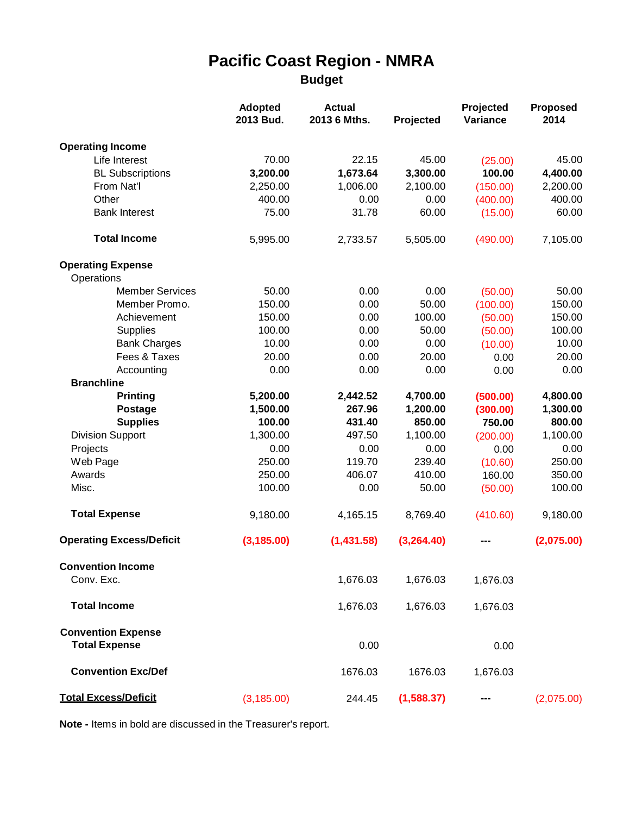## **Pacific Coast Region - NMRA Budget**

|                                                   | <b>Adopted</b><br>2013 Bud. | <b>Actual</b><br>2013 6 Mths. | Projected  | Projected<br>Variance | <b>Proposed</b><br>2014 |
|---------------------------------------------------|-----------------------------|-------------------------------|------------|-----------------------|-------------------------|
| <b>Operating Income</b>                           |                             |                               |            |                       |                         |
| Life Interest                                     | 70.00                       | 22.15                         | 45.00      | (25.00)               | 45.00                   |
| <b>BL Subscriptions</b>                           | 3,200.00                    | 1,673.64                      | 3,300.00   | 100.00                | 4,400.00                |
| From Nat'l                                        | 2,250.00                    | 1,006.00                      | 2,100.00   | (150.00)              | 2,200.00                |
| Other                                             | 400.00                      | 0.00                          | 0.00       | (400.00)              | 400.00                  |
| <b>Bank Interest</b>                              | 75.00                       | 31.78                         | 60.00      | (15.00)               | 60.00                   |
| <b>Total Income</b>                               | 5,995.00                    | 2,733.57                      | 5,505.00   | (490.00)              | 7,105.00                |
| <b>Operating Expense</b>                          |                             |                               |            |                       |                         |
| Operations                                        |                             |                               |            |                       |                         |
| <b>Member Services</b>                            | 50.00                       | 0.00                          | 0.00       | (50.00)               | 50.00                   |
| Member Promo.                                     | 150.00                      | 0.00                          | 50.00      | (100.00)              | 150.00                  |
| Achievement                                       | 150.00                      | 0.00                          | 100.00     | (50.00)               | 150.00                  |
| <b>Supplies</b>                                   | 100.00                      | 0.00                          | 50.00      | (50.00)               | 100.00                  |
| <b>Bank Charges</b>                               | 10.00                       | 0.00                          | 0.00       | (10.00)               | 10.00                   |
| Fees & Taxes                                      | 20.00                       | 0.00                          | 20.00      | 0.00                  | 20.00                   |
| Accounting                                        | 0.00                        | 0.00                          | 0.00       | 0.00                  | 0.00                    |
| <b>Branchline</b>                                 |                             |                               |            |                       |                         |
| <b>Printing</b>                                   | 5,200.00                    | 2,442.52                      | 4,700.00   | (500.00)              | 4,800.00                |
| <b>Postage</b>                                    | 1,500.00                    | 267.96                        | 1,200.00   | (300.00)              | 1,300.00                |
| <b>Supplies</b>                                   | 100.00                      | 431.40                        | 850.00     | 750.00                | 800.00                  |
| <b>Division Support</b>                           | 1,300.00                    | 497.50                        | 1,100.00   | (200.00)              | 1,100.00                |
| Projects                                          | 0.00                        | 0.00                          | 0.00       | 0.00                  | 0.00                    |
| Web Page                                          | 250.00                      | 119.70                        | 239.40     | (10.60)               | 250.00                  |
| Awards                                            | 250.00                      | 406.07                        | 410.00     | 160.00                | 350.00                  |
| Misc.                                             | 100.00                      | 0.00                          | 50.00      | (50.00)               | 100.00                  |
| <b>Total Expense</b>                              | 9,180.00                    | 4,165.15                      | 8,769.40   | (410.60)              | 9,180.00                |
| <b>Operating Excess/Deficit</b>                   | (3, 185.00)                 | (1,431.58)                    | (3,264.40) |                       | (2,075.00)              |
| <b>Convention Income</b>                          |                             |                               |            |                       |                         |
| Conv. Exc.                                        |                             | 1,676.03                      | 1,676.03   | 1,676.03              |                         |
| <b>Total Income</b>                               |                             | 1,676.03                      | 1,676.03   | 1,676.03              |                         |
| <b>Convention Expense</b><br><b>Total Expense</b> |                             | 0.00                          |            |                       |                         |
|                                                   |                             |                               |            | 0.00                  |                         |
| <b>Convention Exc/Def</b>                         |                             | 1676.03                       | 1676.03    | 1,676.03              |                         |
| <b>Total Excess/Deficit</b>                       | (3, 185.00)                 | 244.45                        | (1,588.37) |                       | (2,075.00)              |

**Note -** Items in bold are discussed in the Treasurer's report.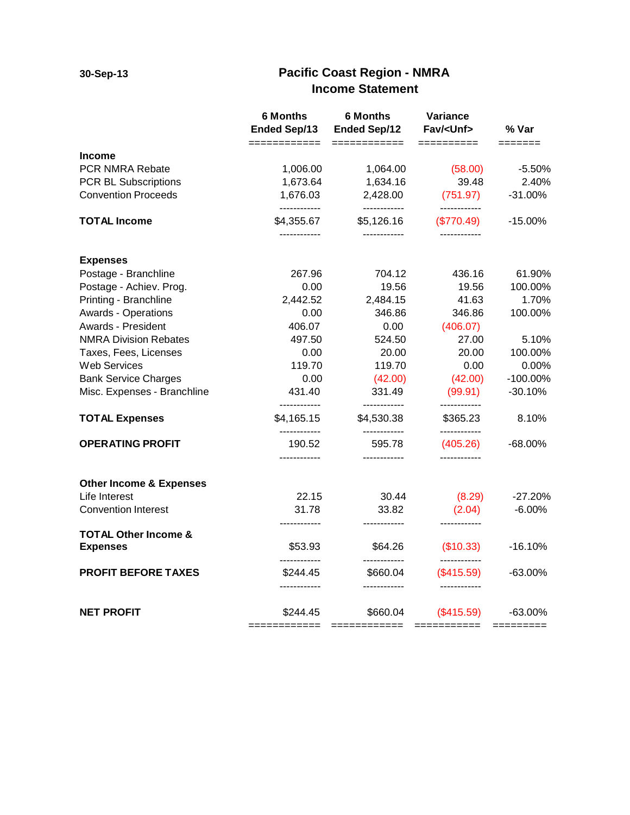## **30-Sep-13 Pacific Coast Region - NMRA Income Statement**

|                                                    | <b>6 Months</b><br><b>Ended Sep/13</b><br>============ | <b>6 Months</b><br><b>Ended Sep/12</b> | Variance<br>Fav/ <unf></unf> | % Var       |
|----------------------------------------------------|--------------------------------------------------------|----------------------------------------|------------------------------|-------------|
| <b>Income</b>                                      |                                                        | ============                           | =========                    | =======     |
| PCR NMRA Rebate                                    | 1,006.00                                               | 1,064.00                               | (58.00)                      | $-5.50%$    |
| PCR BL Subscriptions                               | 1,673.64                                               | 1,634.16                               | 39.48                        | 2.40%       |
| <b>Convention Proceeds</b>                         | 1,676.03<br>------------                               | 2,428.00<br>------------               | (751.97)<br>------------     | $-31.00%$   |
| <b>TOTAL Income</b>                                | \$4,355.67<br>------------                             | \$5,126.16<br>------------             | (\$770.49)<br>------------   | $-15.00%$   |
| <b>Expenses</b>                                    |                                                        |                                        |                              |             |
| Postage - Branchline                               | 267.96                                                 | 704.12                                 | 436.16                       | 61.90%      |
| Postage - Achiev. Prog.                            | 0.00                                                   | 19.56                                  | 19.56                        | 100.00%     |
| Printing - Branchline                              | 2,442.52                                               | 2,484.15                               | 41.63                        | 1.70%       |
| <b>Awards - Operations</b>                         | 0.00                                                   | 346.86                                 | 346.86                       | 100.00%     |
| Awards - President                                 | 406.07                                                 | 0.00                                   | (406.07)                     |             |
| <b>NMRA Division Rebates</b>                       | 497.50                                                 | 524.50                                 | 27.00                        | 5.10%       |
| Taxes, Fees, Licenses                              | 0.00                                                   | 20.00                                  | 20.00                        | 100.00%     |
| Web Services                                       | 119.70                                                 | 119.70                                 | 0.00                         | 0.00%       |
| <b>Bank Service Charges</b>                        | 0.00                                                   | (42.00)                                | (42.00)                      | $-100.00\%$ |
| Misc. Expenses - Branchline                        | 431.40<br>------------                                 | 331.49<br>------------                 | (99.91)<br>------------      | $-30.10%$   |
| <b>TOTAL Expenses</b>                              | \$4,165.15                                             | \$4,530.38<br>------------             | \$365.23<br>------------     | 8.10%       |
| <b>OPERATING PROFIT</b>                            | 190.52                                                 | 595.78                                 | (405.26)                     | $-68.00\%$  |
| <b>Other Income &amp; Expenses</b>                 |                                                        |                                        |                              |             |
| Life Interest                                      | 22.15                                                  | 30.44                                  | (8.29)                       | $-27.20%$   |
| <b>Convention Interest</b>                         | 31.78<br>---------                                     | 33.82                                  | (2.04)                       | $-6.00%$    |
| <b>TOTAL Other Income &amp;</b><br><b>Expenses</b> | \$53.93                                                | \$64.26                                | (\$10.33)                    | $-16.10%$   |
| <b>PROFIT BEFORE TAXES</b>                         | \$244.45                                               | \$660.04                               | (\$415.59)                   | $-63.00\%$  |
|                                                    |                                                        |                                        |                              |             |
| <b>NET PROFIT</b>                                  | \$244.45                                               | \$660.04                               | $(\$415.59)$                 | -63.00%     |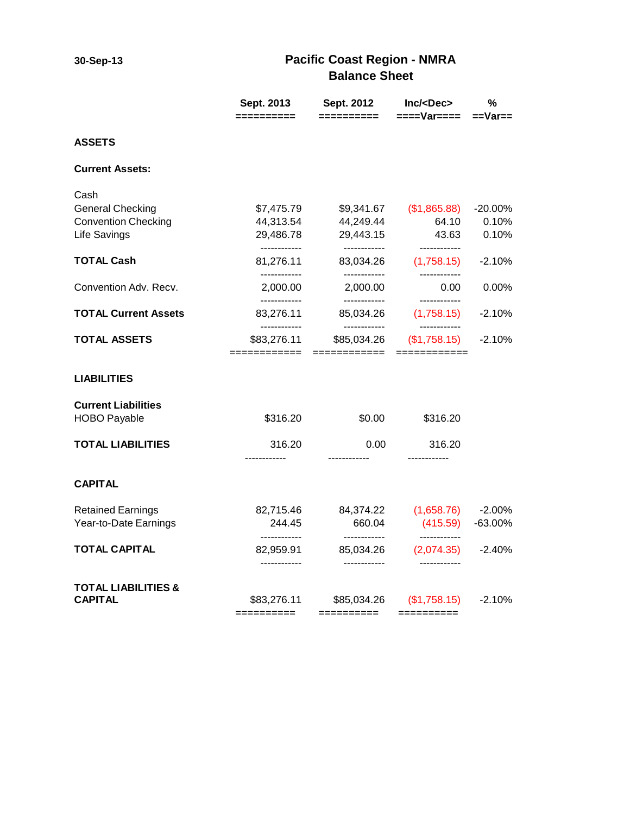## **30-Sep-13 Pacific Coast Region - NMRA Balance Sheet**

|                                                       | Sept. 2013                                | Sept. 2012                                | Inc/ <dec></dec>                           | ℅                   |
|-------------------------------------------------------|-------------------------------------------|-------------------------------------------|--------------------------------------------|---------------------|
|                                                       | ==========                                | ==========                                | $===Var===$                                | $==Var ==$          |
| <b>ASSETS</b>                                         |                                           |                                           |                                            |                     |
| <b>Current Assets:</b>                                |                                           |                                           |                                            |                     |
| Cash                                                  |                                           |                                           |                                            |                     |
| <b>General Checking</b><br><b>Convention Checking</b> | \$7,475.79<br>44,313.54                   | \$9,341.67<br>44,249.44                   | (\$1,865.88)<br>64.10                      | $-20.00\%$<br>0.10% |
| <b>Life Savings</b>                                   | 29,486.78                                 | 29,443.15                                 | 43.63                                      | 0.10%               |
| <b>TOTAL Cash</b>                                     | ------------<br>81,276.11                 | ------------<br>83,034.26                 | ------------<br>(1,758.15)                 | $-2.10%$            |
| Convention Adv. Recv.                                 | ------------<br>2,000.00                  | ------------<br>2,000.00                  | ------------<br>0.00                       | 0.00%               |
| <b>TOTAL Current Assets</b>                           | ------------<br>83,276.11<br>------------ | ------------<br>85,034.26<br>------------ | ------------<br>(1,758.15)<br>------------ | $-2.10%$            |
| <b>TOTAL ASSETS</b>                                   | \$83,276.11<br>============               | \$85,034.26<br>============               | (\$1,758.15)<br>============               | $-2.10%$            |
| <b>LIABILITIES</b>                                    |                                           |                                           |                                            |                     |
| <b>Current Liabilities</b>                            |                                           |                                           |                                            |                     |
| <b>HOBO Payable</b>                                   | \$316.20                                  | \$0.00                                    | \$316.20                                   |                     |
| <b>TOTAL LIABILITIES</b>                              | 316.20                                    | 0.00                                      | 316.20                                     |                     |
| <b>CAPITAL</b>                                        | ------------                              | ------------                              | ------------                               |                     |
|                                                       |                                           |                                           |                                            |                     |
| <b>Retained Earnings</b>                              | 82,715.46                                 | 84,374.22                                 | (1,658.76)                                 | $-2.00%$            |
| Year-to-Date Earnings                                 | 244.45<br>------------                    | 660.04<br>------------                    | (415.59)<br>------------                   | $-63.00\%$          |
| <b>TOTAL CAPITAL</b>                                  | 82,959.91<br>------------                 | 85,034.26<br>------------                 | (2,074.35)                                 | $-2.40\%$           |
| <b>TOTAL LIABILITIES &amp;</b>                        |                                           |                                           |                                            |                     |
| <b>CAPITAL</b>                                        | \$83,276.11<br>==========                 | \$85,034.26<br>==========                 | (\$1,758.15)<br>$=$ = = = = = = = = =      | $-2.10%$            |
|                                                       |                                           |                                           |                                            |                     |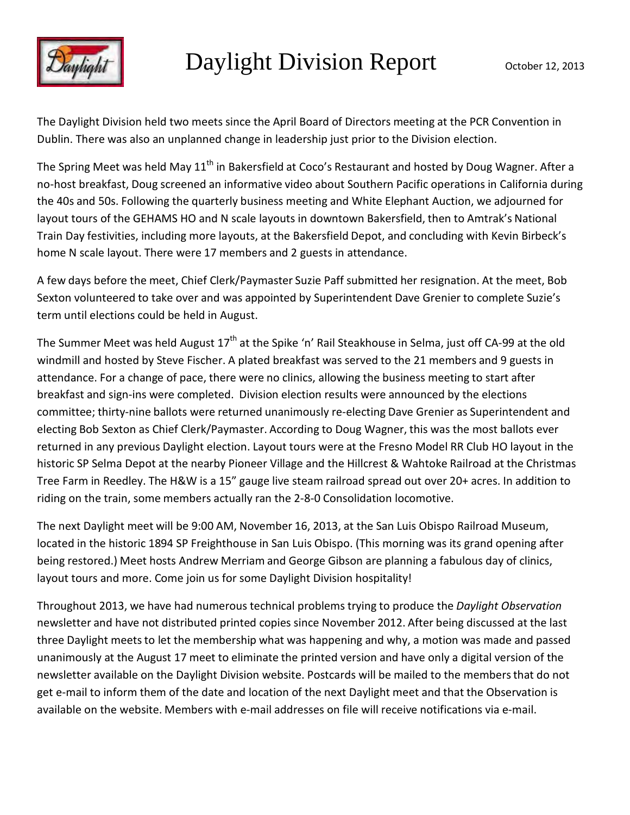

The Daylight Division held two meets since the April Board of Directors meeting at the PCR Convention in Dublin. There was also an unplanned change in leadership just prior to the Division election.

The Spring Meet was held May 11<sup>th</sup> in Bakersfield at Coco's Restaurant and hosted by Doug Wagner. After a no-host breakfast, Doug screened an informative video about Southern Pacific operations in California during the 40s and 50s. Following the quarterly business meeting and White Elephant Auction, we adjourned for layout tours of the GEHAMS HO and N scale layouts in downtown Bakersfield, then to Amtrak's National Train Day festivities, including more layouts, at the Bakersfield Depot, and concluding with Kevin Birbeck's home N scale layout. There were 17 members and 2 guests in attendance.

A few days before the meet, Chief Clerk/Paymaster Suzie Paff submitted her resignation. At the meet, Bob Sexton volunteered to take over and was appointed by Superintendent Dave Grenier to complete Suzie's term until elections could be held in August.

The Summer Meet was held August 17<sup>th</sup> at the Spike 'n' Rail Steakhouse in Selma, just off CA-99 at the old windmill and hosted by Steve Fischer. A plated breakfast was served to the 21 members and 9 guests in attendance. For a change of pace, there were no clinics, allowing the business meeting to start after breakfast and sign-ins were completed. Division election results were announced by the elections committee; thirty-nine ballots were returned unanimously re-electing Dave Grenier as Superintendent and electing Bob Sexton as Chief Clerk/Paymaster. According to Doug Wagner, this was the most ballots ever returned in any previous Daylight election. Layout tours were at the Fresno Model RR Club HO layout in the historic SP Selma Depot at the nearby Pioneer Village and the Hillcrest & Wahtoke Railroad at the Christmas Tree Farm in Reedley. The H&W is a 15" gauge live steam railroad spread out over 20+ acres. In addition to riding on the train, some members actually ran the 2-8-0 Consolidation locomotive.

The next Daylight meet will be 9:00 AM, November 16, 2013, at the San Luis Obispo Railroad Museum, located in the historic 1894 SP Freighthouse in San Luis Obispo. (This morning was its grand opening after being restored.) Meet hosts Andrew Merriam and George Gibson are planning a fabulous day of clinics, layout tours and more. Come join us for some Daylight Division hospitality!

Throughout 2013, we have had numerous technical problems trying to produce the *Daylight Observation*  newsletter and have not distributed printed copies since November 2012. After being discussed at the last three Daylight meets to let the membership what was happening and why, a motion was made and passed unanimously at the August 17 meet to eliminate the printed version and have only a digital version of the newsletter available on the Daylight Division website. Postcards will be mailed to the membersthat do not get e-mail to inform them of the date and location of the next Daylight meet and that the Observation is available on the website. Members with e-mail addresses on file will receive notifications via e-mail.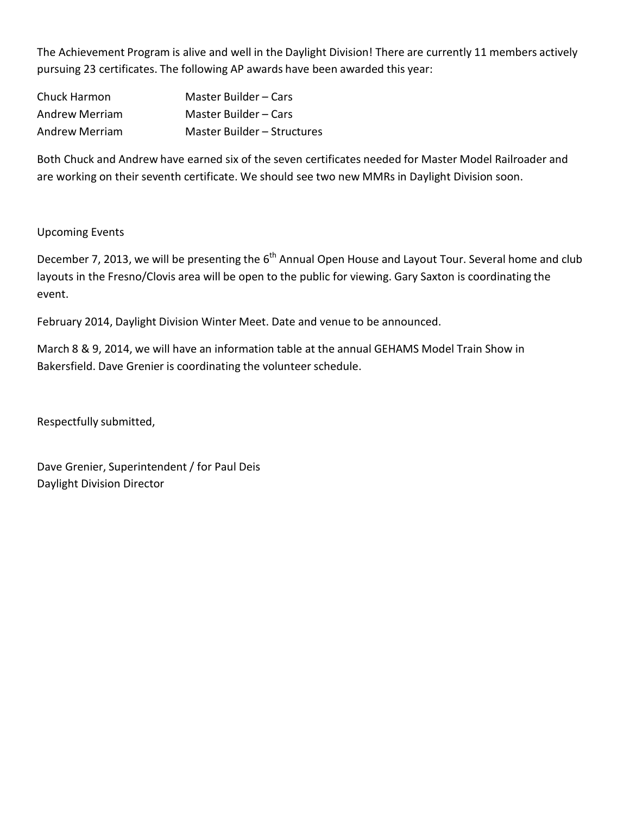The Achievement Program is alive and well in the Daylight Division! There are currently 11 members actively pursuing 23 certificates. The following AP awards have been awarded this year:

| Chuck Harmon          | Master Builder – Cars       |
|-----------------------|-----------------------------|
| Andrew Merriam        | Master Builder – Cars       |
| <b>Andrew Merriam</b> | Master Builder – Structures |

Both Chuck and Andrew have earned six of the seven certificates needed for Master Model Railroader and are working on their seventh certificate. We should see two new MMRs in Daylight Division soon.

#### Upcoming Events

December 7, 2013, we will be presenting the  $6<sup>th</sup>$  Annual Open House and Layout Tour. Several home and club layouts in the Fresno/Clovis area will be open to the public for viewing. Gary Saxton is coordinating the event.

February 2014, Daylight Division Winter Meet. Date and venue to be announced.

March 8 & 9, 2014, we will have an information table at the annual GEHAMS Model Train Show in Bakersfield. Dave Grenier is coordinating the volunteer schedule.

Respectfully submitted,

Dave Grenier, Superintendent / for Paul Deis Daylight Division Director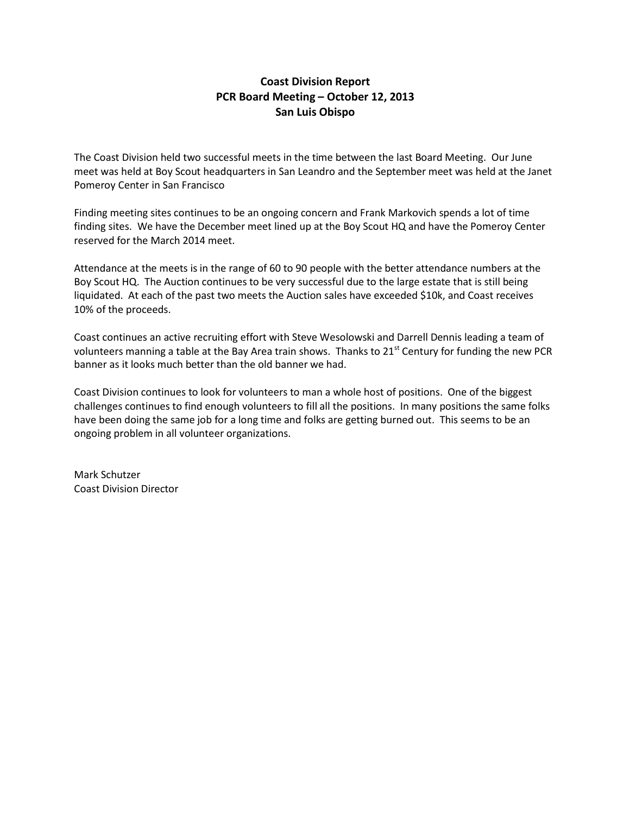#### **Coast Division Report PCR Board Meeting – October 12, 2013 San Luis Obispo**

The Coast Division held two successful meets in the time between the last Board Meeting. Our June meet was held at Boy Scout headquarters in San Leandro and the September meet was held at the Janet Pomeroy Center in San Francisco

Finding meeting sites continues to be an ongoing concern and Frank Markovich spends a lot of time finding sites. We have the December meet lined up at the Boy Scout HQ and have the Pomeroy Center reserved for the March 2014 meet.

Attendance at the meets is in the range of 60 to 90 people with the better attendance numbers at the Boy Scout HQ. The Auction continues to be very successful due to the large estate that is still being liquidated. At each of the past two meets the Auction sales have exceeded \$10k, and Coast receives 10% of the proceeds.

Coast continues an active recruiting effort with Steve Wesolowski and Darrell Dennis leading a team of volunteers manning a table at the Bay Area train shows. Thanks to 21<sup>st</sup> Century for funding the new PCR banner as it looks much better than the old banner we had.

Coast Division continues to look for volunteers to man a whole host of positions. One of the biggest challenges continues to find enough volunteers to fill all the positions. In many positions the same folks have been doing the same job for a long time and folks are getting burned out. This seems to be an ongoing problem in all volunteer organizations.

Mark Schutzer Coast Division Director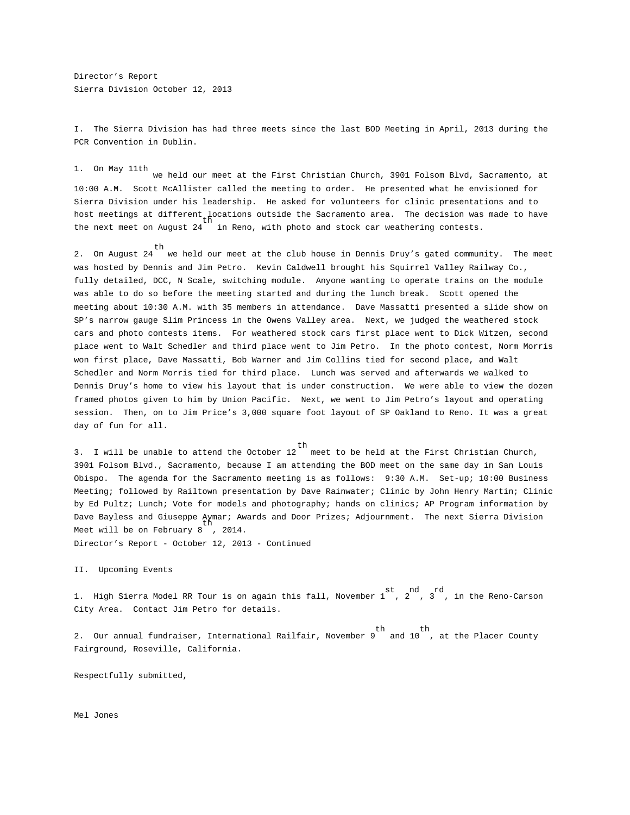Director's Report Sierra Division October 12, 2013

I. The Sierra Division has had three meets since the last BOD Meeting in April, 2013 during the PCR Convention in Dublin.

1. On May 11th

we held our meet at the First Christian Church, 3901 Folsom Blvd, Sacramento, at 10:00 A.M. Scott McAllister called the meeting to order. He presented what he envisioned for Sierra Division under his leadership. He asked for volunteers for clinic presentations and to host meetings at different locations outside the Sacramento area. The decision was made to have<br>the next meet on August 24  $\,$  in Reno, with photo and stock car weathering contests.

th 2. On August 24 we held our meet at the club house in Dennis Druy's gated community. The meet was hosted by Dennis and Jim Petro. Kevin Caldwell brought his Squirrel Valley Railway Co., fully detailed, DCC, N Scale, switching module. Anyone wanting to operate trains on the module was able to do so before the meeting started and during the lunch break. Scott opened the meeting about 10:30 A.M. with 35 members in attendance. Dave Massatti presented a slide show on SP's narrow gauge Slim Princess in the Owens Valley area. Next, we judged the weathered stock cars and photo contests items. For weathered stock cars first place went to Dick Witzen, second place went to Walt Schedler and third place went to Jim Petro. In the photo contest, Norm Morris won first place, Dave Massatti, Bob Warner and Jim Collins tied for second place, and Walt Schedler and Norm Morris tied for third place. Lunch was served and afterwards we walked to Dennis Druy's home to view his layout that is under construction. We were able to view the dozen framed photos given to him by Union Pacific. Next, we went to Jim Petro's layout and operating session. Then, on to Jim Price's 3,000 square foot layout of SP Oakland to Reno. It was a great day of fun for all.

th 3. I will be unable to attend the October 12 meet to be held at the First Christian Church, 3901 Folsom Blvd., Sacramento, because I am attending the BOD meet on the same day in San Louis Obispo. The agenda for the Sacramento meeting is as follows: 9:30 A.M. Set-up; 10:00 Business Meeting; followed by Railtown presentation by Dave Rainwater; Clinic by John Henry Martin; Clinic by Ed Pultz; Lunch; Vote for models and photography; hands on clinics; AP Program information by Dave Bayless and Giuseppe Aymar; Awards and Door Prizes; Adjournment. The next Sierra Division Meet will be on February 8<sup>11</sup>, 2014.

Director's Report - October 12, 2013 - Continued

#### II. Upcoming Events

st nd rd 1. High Sierra Model RR Tour is on again this fall, November 1 , 2 , 3 , in the Reno-Carson City Area. Contact Jim Petro for details.

th th 2. Our annual fundraiser, International Railfair, November 9 and 10 , at the Placer CountyFairground, Roseville, California.

Respectfully submitted,

Mel Jones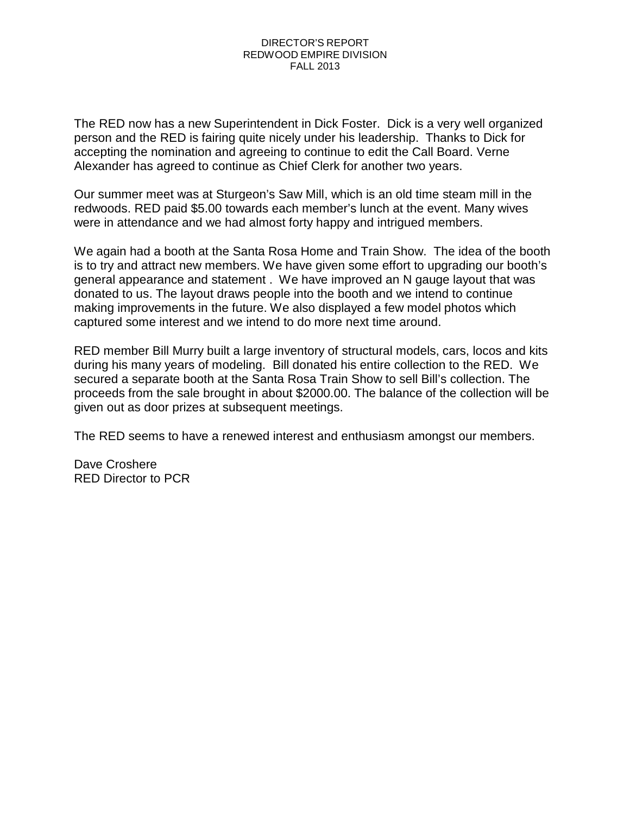#### DIRECTOR'S REPORT REDWOOD EMPIRE DIVISION FALL 2013

The RED now has a new Superintendent in Dick Foster. Dick is a very well organized person and the RED is fairing quite nicely under his leadership. Thanks to Dick for accepting the nomination and agreeing to continue to edit the Call Board. Verne Alexander has agreed to continue as Chief Clerk for another two years.

Our summer meet was at Sturgeon's Saw Mill, which is an old time steam mill in the redwoods. RED paid \$5.00 towards each member's lunch at the event. Many wives were in attendance and we had almost forty happy and intrigued members.

We again had a booth at the Santa Rosa Home and Train Show. The idea of the booth is to try and attract new members. We have given some effort to upgrading our booth's general appearance and statement . We have improved an N gauge layout that was donated to us. The layout draws people into the booth and we intend to continue making improvements in the future. We also displayed a few model photos which captured some interest and we intend to do more next time around.

RED member Bill Murry built a large inventory of structural models, cars, locos and kits during his many years of modeling. Bill donated his entire collection to the RED. We secured a separate booth at the Santa Rosa Train Show to sell Bill's collection. The proceeds from the sale brought in about \$2000.00. The balance of the collection will be given out as door prizes at subsequent meetings.

The RED seems to have a renewed interest and enthusiasm amongst our members.

Dave Croshere RED Director to PCR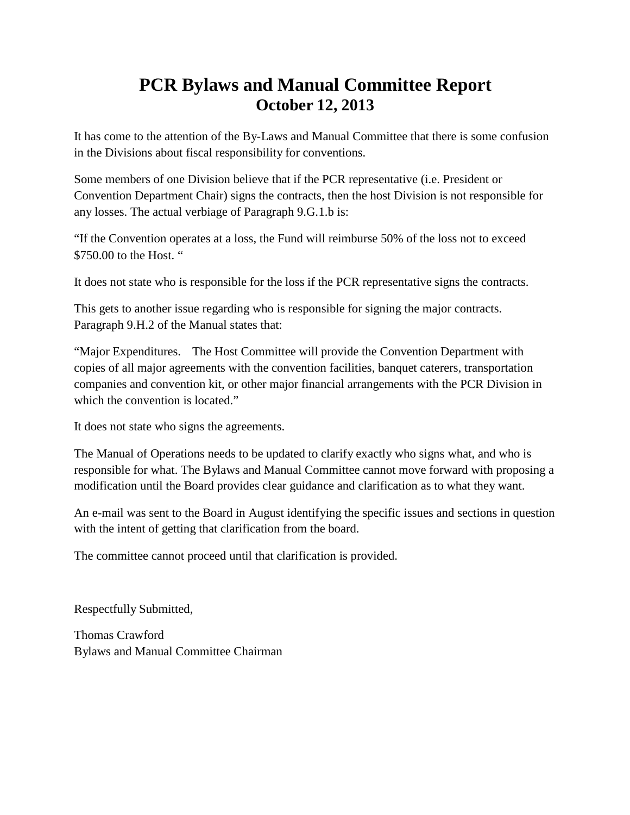## **PCR Bylaws and Manual Committee Report October 12, 2013**

It has come to the attention of the By-Laws and Manual Committee that there is some confusion in the Divisions about fiscal responsibility for conventions.

Some members of one Division believe that if the PCR representative (i.e. President or Convention Department Chair) signs the contracts, then the host Division is not responsible for any losses. The actual verbiage of Paragraph 9.G.1.b is:

"If the Convention operates at a loss, the Fund will reimburse 50% of the loss not to exceed \$750.00 to the Host. "

It does not state who is responsible for the loss if the PCR representative signs the contracts.

This gets to another issue regarding who is responsible for signing the major contracts. Paragraph 9.H.2 of the Manual states that:

"Major Expenditures. The Host Committee will provide the Convention Department with copies of all major agreements with the convention facilities, banquet caterers, transportation companies and convention kit, or other major financial arrangements with the PCR Division in which the convention is located."

It does not state who signs the agreements.

The Manual of Operations needs to be updated to clarify exactly who signs what, and who is responsible for what. The Bylaws and Manual Committee cannot move forward with proposing a modification until the Board provides clear guidance and clarification as to what they want.

An e-mail was sent to the Board in August identifying the specific issues and sections in question with the intent of getting that clarification from the board.

The committee cannot proceed until that clarification is provided.

Respectfully Submitted,

Thomas Crawford Bylaws and Manual Committee Chairman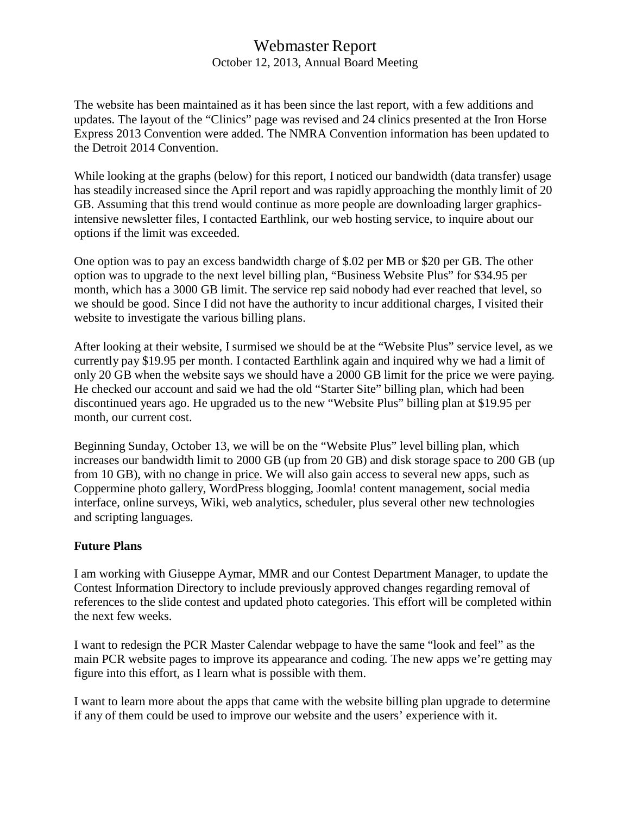## Webmaster Report

October 12, 2013, Annual Board Meeting

The website has been maintained as it has been since the last report, with a few additions and updates. The layout of the "Clinics" page was revised and 24 clinics presented at the Iron Horse Express 2013 Convention were added. The NMRA Convention information has been updated to the Detroit 2014 Convention.

While looking at the graphs (below) for this report, I noticed our bandwidth (data transfer) usage has steadily increased since the April report and was rapidly approaching the monthly limit of 20 GB. Assuming that this trend would continue as more people are downloading larger graphicsintensive newsletter files, I contacted Earthlink, our web hosting service, to inquire about our options if the limit was exceeded.

One option was to pay an excess bandwidth charge of \$.02 per MB or \$20 per GB. The other option was to upgrade to the next level billing plan, "Business Website Plus" for \$34.95 per month, which has a 3000 GB limit. The service rep said nobody had ever reached that level, so we should be good. Since I did not have the authority to incur additional charges, I visited their website to investigate the various billing plans.

After looking at their website, I surmised we should be at the "Website Plus" service level, as we currently pay \$19.95 per month. I contacted Earthlink again and inquired why we had a limit of only 20 GB when the website says we should have a 2000 GB limit for the price we were paying. He checked our account and said we had the old "Starter Site" billing plan, which had been discontinued years ago. He upgraded us to the new "Website Plus" billing plan at \$19.95 per month, our current cost.

Beginning Sunday, October 13, we will be on the "Website Plus" level billing plan, which increases our bandwidth limit to 2000 GB (up from 20 GB) and disk storage space to 200 GB (up from 10 GB), with no change in price. We will also gain access to several new apps, such as Coppermine photo gallery, WordPress blogging, Joomla! content management, social media interface, online surveys, Wiki, web analytics, scheduler, plus several other new technologies and scripting languages.

#### **Future Plans**

I am working with Giuseppe Aymar, MMR and our Contest Department Manager, to update the Contest Information Directory to include previously approved changes regarding removal of references to the slide contest and updated photo categories. This effort will be completed within the next few weeks.

I want to redesign the PCR Master Calendar webpage to have the same "look and feel" as the main PCR website pages to improve its appearance and coding. The new apps we're getting may figure into this effort, as I learn what is possible with them.

I want to learn more about the apps that came with the website billing plan upgrade to determine if any of them could be used to improve our website and the users' experience with it.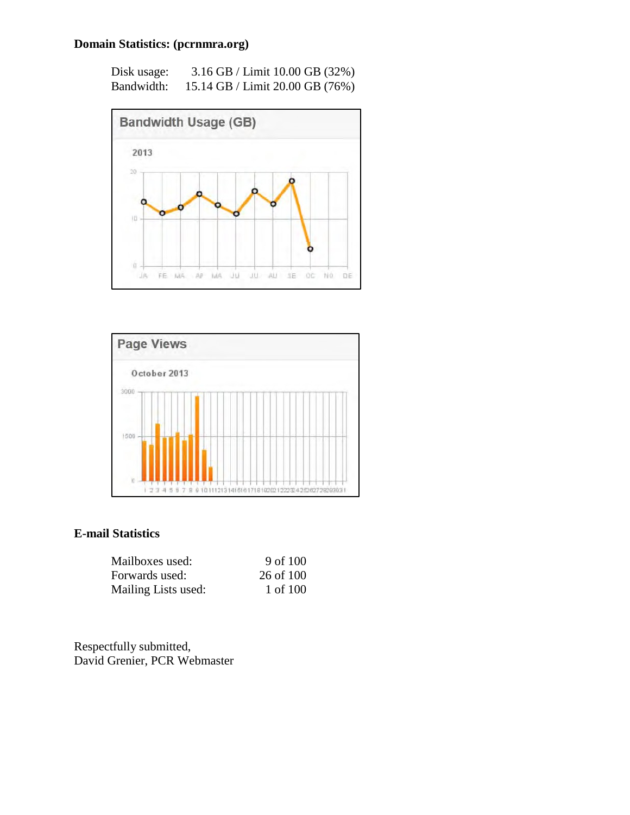#### **Domain Statistics: (pcrnmra.org)**

| Disk usage: | 3.16 GB / Limit 10.00 GB (32%)  |
|-------------|---------------------------------|
| Bandwidth:  | 15.14 GB / Limit 20.00 GB (76%) |





#### **E-mail Statistics**

| Mailboxes used:     | 9 of 100  |
|---------------------|-----------|
| Forwards used:      | 26 of 100 |
| Mailing Lists used: | 1 of 100  |

Respectfully submitted, David Grenier, PCR Webmaster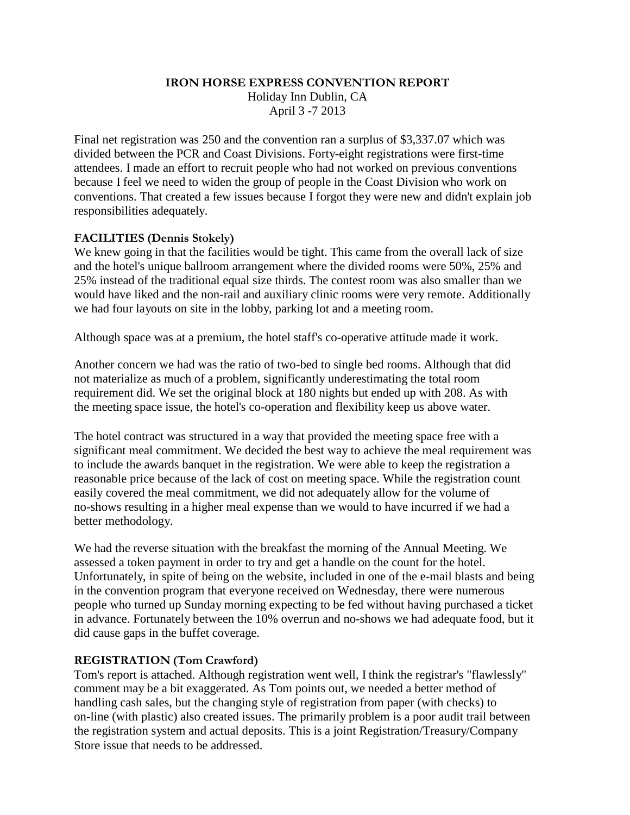#### **IRON HORSE EXPRESS CONVENTION REPORT**

Holiday Inn Dublin, CA April 3 -7 2013

Final net registration was 250 and the convention ran a surplus of \$3,337.07 which was divided between the PCR and Coast Divisions. Forty-eight registrations were first-time attendees. I made an effort to recruit people who had not worked on previous conventions because I feel we need to widen the group of people in the Coast Division who work on conventions. That created a few issues because I forgot they were new and didn't explain job responsibilities adequately.

#### **FACILITIES (Dennis Stokely)**

We knew going in that the facilities would be tight. This came from the overall lack of size and the hotel's unique ballroom arrangement where the divided rooms were 50%, 25% and 25% instead of the traditional equal size thirds. The contest room was also smaller than we would have liked and the non-rail and auxiliary clinic rooms were very remote. Additionally we had four layouts on site in the lobby, parking lot and a meeting room.

Although space was at a premium, the hotel staff's co-operative attitude made it work.

Another concern we had was the ratio of two-bed to single bed rooms. Although that did not materialize as much of a problem, significantly underestimating the total room requirement did. We set the original block at 180 nights but ended up with 208. As with the meeting space issue, the hotel's co-operation and flexibility keep us above water.

The hotel contract was structured in a way that provided the meeting space free with a significant meal commitment. We decided the best way to achieve the meal requirement was to include the awards banquet in the registration. We were able to keep the registration a reasonable price because of the lack of cost on meeting space. While the registration count easily covered the meal commitment, we did not adequately allow for the volume of no-shows resulting in a higher meal expense than we would to have incurred if we had a better methodology.

We had the reverse situation with the breakfast the morning of the Annual Meeting. We assessed a token payment in order to try and get a handle on the count for the hotel. Unfortunately, in spite of being on the website, included in one of the e-mail blasts and being in the convention program that everyone received on Wednesday, there were numerous people who turned up Sunday morning expecting to be fed without having purchased a ticket in advance. Fortunately between the 10% overrun and no-shows we had adequate food, but it did cause gaps in the buffet coverage.

#### **REGISTRATION (Tom Crawford)**

Tom's report is attached. Although registration went well, I think the registrar's "flawlessly" comment may be a bit exaggerated. As Tom points out, we needed a better method of handling cash sales, but the changing style of registration from paper (with checks) to on-line (with plastic) also created issues. The primarily problem is a poor audit trail between the registration system and actual deposits. This is a joint Registration/Treasury/Company Store issue that needs to be addressed.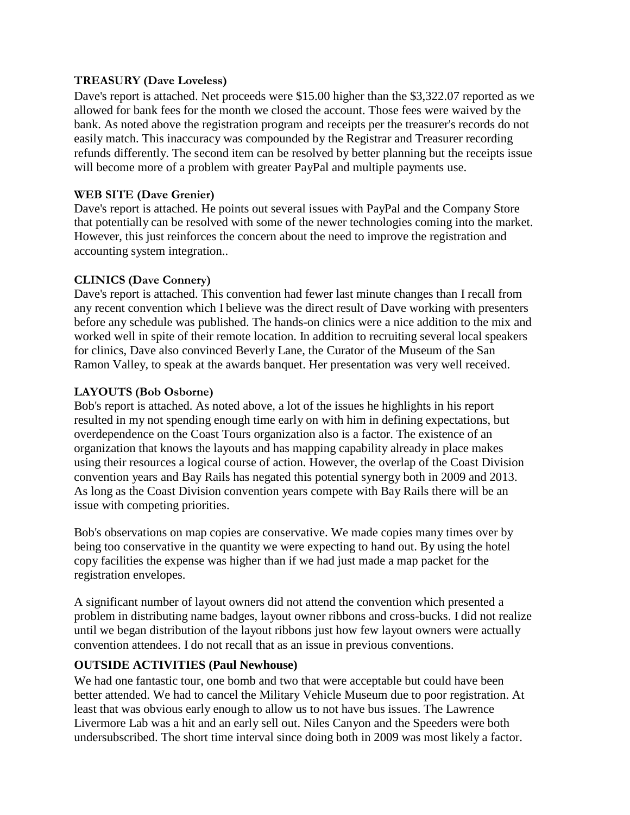#### **TREASURY (Dave Loveless)**

Dave's report is [attached.](http://attached.net/) Net proceeds were \$15.00 higher than the \$3,322.07 reported as we allowed for bank fees for the month we closed the account. Those fees were waived by the bank. As noted above the registration program and receipts per the treasurer's records do not easily match. This inaccuracy was compounded by the Registrar and Treasurer recording refunds differently. The second item can be resolved by better planning but the receipts issue will become more of a problem with greater PayPal and multiple payments use.

#### **WEB SITE (Dave Grenier)**

Dave's report is attached. He points out several issues with PayPal and the Company Store that potentially can be resolved with some of the newer technologies coming into the market. However, this just reinforces the concern about the need to improve the registration and accounting system integration..

#### **CLINICS (Dave Connery)**

Dave's report is attached. This convention had fewer last minute changes than I recall from any recent convention which I believe was the direct result of Dave working with presenters before any schedule was published. The hands-on clinics were a nice addition to the mix and worked well in spite of their remote location. In addition to recruiting several local speakers for clinics, Dave also convinced Beverly Lane, the Curator of the Museum of the San Ramon Valley, to speak at the awards banquet. Her presentation was very well received.

#### **LAYOUTS (Bob Osborne)**

Bob's report is attached. As noted above, a lot of the issues he highlights in his report resulted in my not spending enough time early on with him in defining expectations, but overdependence on the Coast Tours organization also is a factor. The existence of an organization that knows the layouts and has mapping capability already in place makes using their resources a logical course of action. However, the overlap of the Coast Division convention years and Bay Rails has negated this potential synergy both in 2009 and 2013. As long as the Coast Division convention years compete with Bay Rails there will be an issue with competing priorities.

Bob's observations on map copies are conservative. We made copies many times over by being too conservative in the quantity we were expecting to hand out. By using the hotel copy facilities the expense was higher than if we had just made a map packet for the registration envelopes.

A significant number of layout owners did not attend the convention which presented a problem in distributing name badges, layout owner ribbons and cross-bucks. I did not realize until we began distribution of the layout ribbons just how few layout owners were actually convention attendees. I do not recall that as an issue in previous conventions.

#### **OUTSIDE ACTIVITIES (Paul Newhouse)**

We had one fantastic tour, one bomb and two that were acceptable but could have been better attended. We had to cancel the Military Vehicle Museum due to poor registration. At least that was obvious early enough to allow us to not have bus issues. The Lawrence Livermore Lab was a hit and an early sell out. Niles Canyon and the Speeders were both undersubscribed. The short time interval since doing both in 2009 was most likely a factor.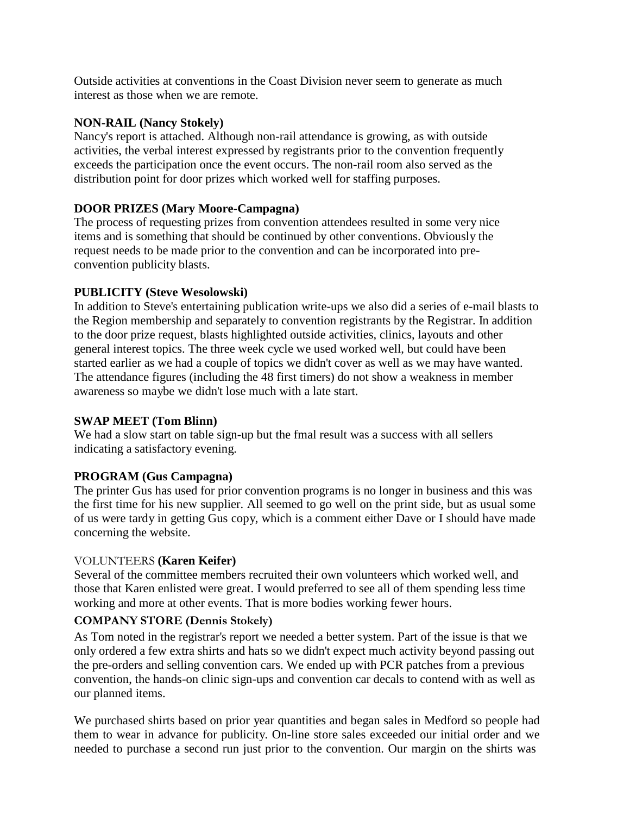Outside activities at conventions in the Coast Division never seem to generate as much interest as those when we are remote.

#### **NON-RAIL (Nancy Stokely)**

Nancy's report is attached. Although non-rail attendance is growing, as with outside activities, the verbal interest expressed by registrants prior to the convention frequently exceeds the participation once the event occurs. The non-rail room also served as the distribution point for door prizes which worked well for staffing purposes.

#### **DOOR PRIZES (Mary Moore-Campagna)**

The process of requesting prizes from convention attendees resulted in some very nice items and is something that should be continued by other conventions. Obviously the request needs to be made prior to the convention and can be incorporated into preconvention publicity blasts.

#### **PUBLICITY (Steve Wesolowski)**

In addition to Steve's entertaining publication write-ups we also did a series of e-mail blasts to the Region membership and separately to convention registrants by the Registrar. In addition to the door prize request, blasts highlighted outside activities, clinics, layouts and other general interest topics. The three week cycle we used worked well, but could have been started earlier as we had a couple of topics we didn't cover as well as we may have wanted. The attendance figures (including the 48 first timers) do not show a weakness in member awareness so maybe we didn't lose much with a late start.

#### **SWAP MEET (Tom Blinn)**

We had a slow start on table sign-up but the fmal result was a success with all sellers indicating a satisfactory evening.

#### **PROGRAM (Gus Campagna)**

The printer Gus has used for prior convention programs is no longer in business and this was the first time for his new supplier. All seemed to go well on the print side, but as usual some of us were tardy in getting Gus copy, which is a comment either Dave or I should have made concerning the website.

#### VOLUNTEERS **(Karen Keifer)**

Several of the committee members recruited their own volunteers which worked well, and those that Karen enlisted were great. I would preferred to see all of them spending less time working and more at other events. That is more bodies working fewer hours.

#### **COMPANY STORE (Dennis Stokely)**

As Tom noted in the registrar's report we needed a better system. Part of the issue is that we only ordered a few extra shirts and hats so we didn't expect much activity beyond passing out the pre-orders and selling convention cars. We ended up with PCR patches from a previous convention, the hands-on clinic sign-ups and convention car decals to contend with as well as our planned items.

We purchased shirts based on prior year quantities and began sales in Medford so people had them to wear in advance for publicity. On-line store sales exceeded our initial order and we needed to purchase a second run just prior to the convention. Our margin on the shirts was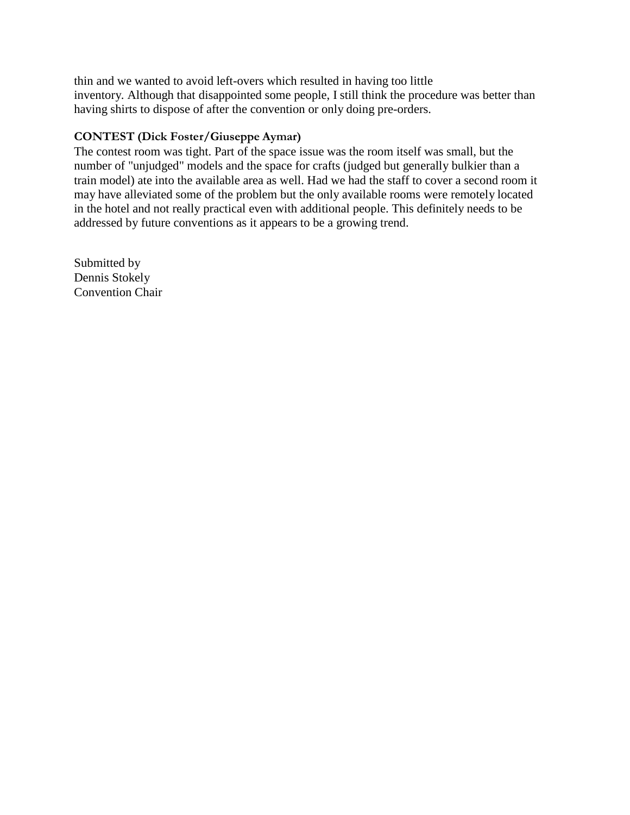thin and we wanted to avoid left-overs which resulted in having too little inventory. Although that disappointed some people, I still think the procedure was better than having shirts to dispose of after the convention or only doing pre-orders.

#### **CONTEST (Dick Foster/Giuseppe Aymar)**

The contest room was tight. Part of the space issue was the room itself was small, but the number of "unjudged" models and the space for crafts (judged but generally bulkier than a train model) ate into the available area as well. Had we had the staff to cover a second room it may have alleviated some of the problem but the only available rooms were remotely located in the hotel and not really practical even with additional people. This definitely needs to be addressed by future conventions as it appears to be a growing trend.

Submitted by Dennis Stokely Convention Chair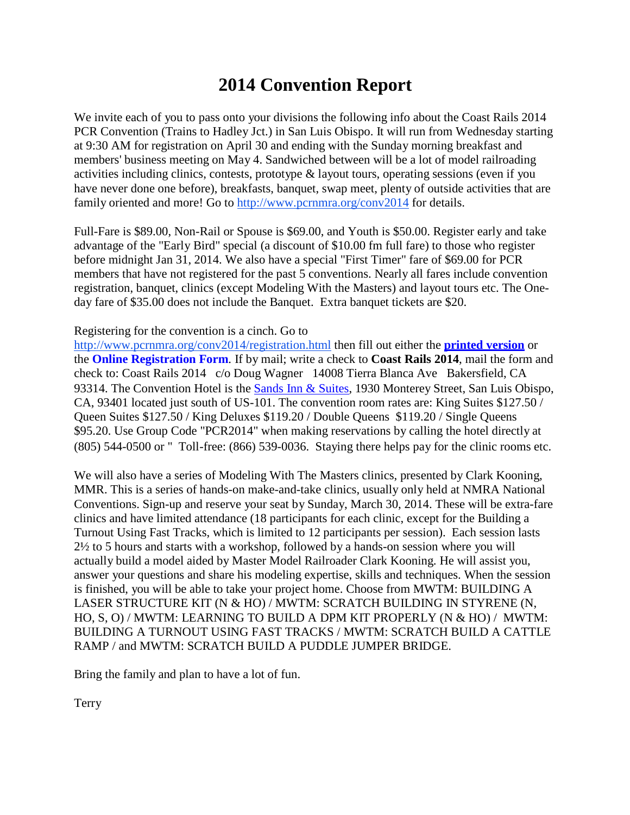## **2014 Convention Report**

We invite each of you to pass onto your divisions the following info about the Coast Rails 2014 PCR Convention (Trains to Hadley Jct.) in San Luis Obispo. It will run from Wednesday starting at 9:30 AM for registration on April 30 and ending with the Sunday morning breakfast and members' business meeting on May 4. Sandwiched between will be a lot of model railroading activities including clinics, contests, prototype & layout tours, operating sessions (even if you have never done one before), breakfasts, banquet, swap meet, plenty of outside activities that are family oriented and more! Go to<http://www.pcrnmra.org/conv2014> for details.

Full-Fare is \$89.00, Non-Rail or Spouse is \$69.00, and Youth is \$50.00. Register early and take advantage of the "Early Bird" special (a discount of \$10.00 fm full fare) to those who register before midnight Jan 31, 2014. We also have a special "First Timer" fare of \$69.00 for PCR members that have not registered for the past 5 conventions. Nearly all fares include convention registration, banquet, clinics (except Modeling With the Masters) and layout tours etc. The Oneday fare of \$35.00 does not include the Banquet. Extra banquet tickets are \$20.

#### Registering for the convention is a cinch. Go to

<http://www.pcrnmra.org/conv2014/registration.html> then fill out either the **[printed](http://www.pcrnmra.org/conv2014/pdf/RegForm.pdf) version** or the **Online Registration Form**. If by mail; write a check to **Coast Rails 2014**, mail the form and check to: Coast Rails 2014 c/o Doug Wagner 14008 Tierra Blanca Ave Bakersfield, CA 93314. The Convention Hotel is the Sands Inn [& Suites,](http://sandssuites.com/) 1930 Monterey Street, San Luis Obispo, CA, 93401 located just south of US-101. The convention room rates are: King Suites \$127.50 / Queen Suites \$127.50 / King Deluxes \$119.20 / Double Queens \$119.20 / Single Queens \$95.20. Use Group Code "PCR2014" when making reservations by calling the hotel directly at (805) 544-0500 or " Toll-free: (866) 539-0036. Staying there helps pay for the clinic rooms etc.

We will also have a series of Modeling With The Masters clinics, presented by Clark Kooning, MMR. This is a series of hands-on make-and-take clinics, usually only held at NMRA National Conventions. Sign-up and reserve your seat by Sunday, March 30, 2014. These will be extra-fare clinics and have limited attendance (18 participants for each clinic, except for the Building a Turnout Using Fast Tracks, which is limited to 12 participants per session). Each session lasts 2½ to 5 hours and starts with a workshop, followed by a hands-on session where you will actually build a model aided by Master Model Railroader Clark Kooning. He will assist you, answer your questions and share his modeling expertise, skills and techniques. When the session is finished, you will be able to take your project home. Choose from MWTM: BUILDING A LASER STRUCTURE KIT (N & HO) / MWTM: SCRATCH BUILDING IN STYRENE (N, HO, S, O) / MWTM: LEARNING TO BUILD A DPM KIT PROPERLY (N & HO) / MWTM: BUILDING A TURNOUT USING FAST TRACKS / MWTM: SCRATCH BUILD A CATTLE RAMP / and MWTM: SCRATCH BUILD A PUDDLE JUMPER BRIDGE.

Bring the family and plan to have a lot of fun.

**Terry**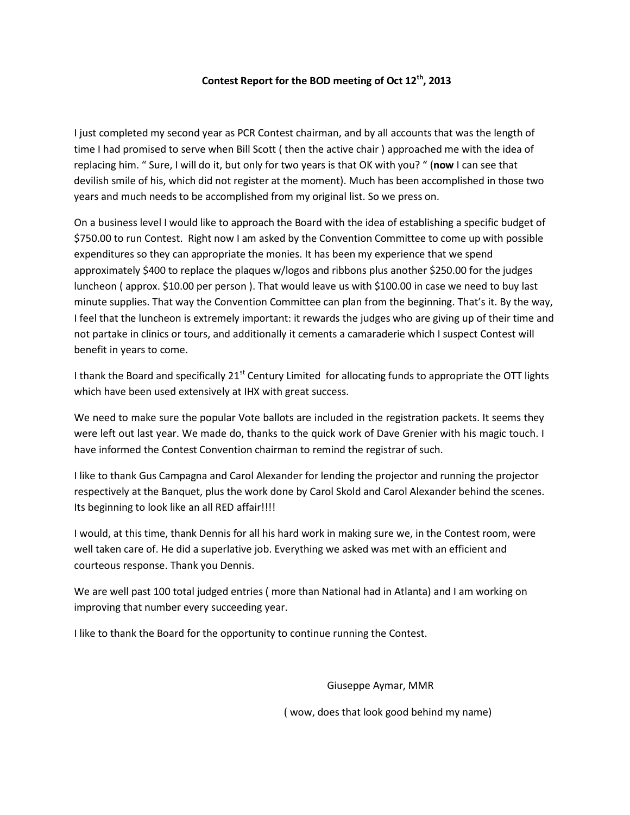#### **Contest Report for the BOD meeting of Oct 12th, 2013**

I just completed my second year as PCR Contest chairman, and by all accounts that was the length of time I had promised to serve when Bill Scott ( then the active chair ) approached me with the idea of replacing him. " Sure, I will do it, but only for two years is that OK with you? " (**now** I can see that devilish smile of his, which did not register at the moment). Much has been accomplished in those two years and much needs to be accomplished from my original list. So we press on.

On a business level I would like to approach the Board with the idea of establishing a specific budget of \$750.00 to run Contest. Right now I am asked by the Convention Committee to come up with possible expenditures so they can appropriate the monies. It has been my experience that we spend approximately \$400 to replace the plaques w/logos and ribbons plus another \$250.00 for the judges luncheon ( approx. \$10.00 per person ). That would leave us with \$100.00 in case we need to buy last minute supplies. That way the Convention Committee can plan from the beginning. That's it. By the way, I feel that the luncheon is extremely important: it rewards the judges who are giving up of their time and not partake in clinics or tours, and additionally it cements a camaraderie which I suspect Contest will benefit in years to come.

I thank the Board and specifically 21<sup>st</sup> Century Limited for allocating funds to appropriate the OTT lights which have been used extensively at IHX with great success.

We need to make sure the popular Vote ballots are included in the registration packets. It seems they were left out last year. We made do, thanks to the quick work of Dave Grenier with his magic touch. I have informed the Contest Convention chairman to remind the registrar of such.

I like to thank Gus Campagna and Carol Alexander for lending the projector and running the projector respectively at the Banquet, plus the work done by Carol Skold and Carol Alexander behind the scenes. Its beginning to look like an all RED affair!!!!

I would, at this time, thank Dennis for all his hard work in making sure we, in the Contest room, were well taken care of. He did a superlative job. Everything we asked was met with an efficient and courteous response. Thank you Dennis.

We are well past 100 total judged entries ( more than National had in Atlanta) and I am working on improving that number every succeeding year.

I like to thank the Board for the opportunity to continue running the Contest.

Giuseppe Aymar, MMR

( wow, does that look good behind my name)